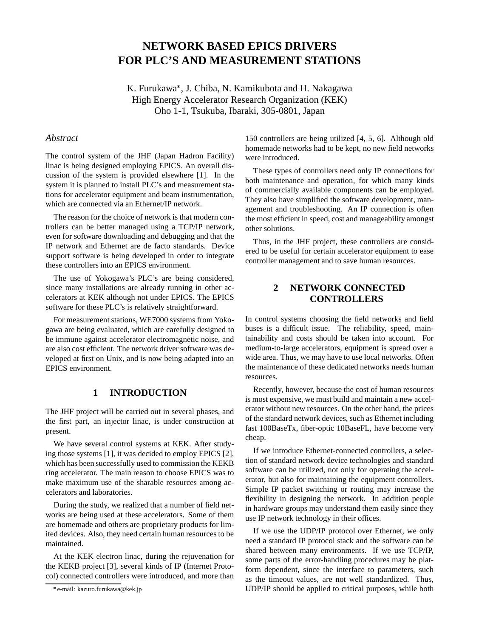# **NETWORK BASED EPICS DRIVERS FOR PLC'S AND MEASUREMENT STATIONS**

K. Furukawa , J. Chiba, N. Kamikubota and H. Nakagawa High Energy Accelerator Research Organization (KEK) Oho 1-1, Tsukuba, Ibaraki, 305-0801, Japan

#### *Abstract*

The control system of the JHF (Japan Hadron Facility) linac is being designed employing EPICS. An overall discussion of the system is provided elsewhere [1]. In the system it is planned to install PLC's and measurement stations for accelerator equipment and beam instrumentation, which are connected via an Ethernet/IP network.

The reason for the choice of network is that modern controllers can be better managed using a TCP/IP network, even for software downloading and debugging and that the IP network and Ethernet are de facto standards. Device support software is being developed in order to integrate these controllers into an EPICS environment.

The use of Yokogawa's PLC's are being considered, since many installations are already running in other accelerators at KEK although not under EPICS. The EPICS software for these PLC's is relatively straightforward.

For measurement stations, WE7000 systems from Yokogawa are being evaluated, which are carefully designed to be immune against accelerator electromagnetic noise, and are also cost efficient. The network driver software was developed at first on Unix, and is now being adapted into an EPICS environment.

## **1 INTRODUCTION**

The JHF project will be carried out in several phases, and the first part, an injector linac, is under construction at present.

We have several control systems at KEK. After studying those systems [1], it was decided to employ EPICS [2], which has been successfully used to commission the KEKB ring accelerator. The main reason to choose EPICS was to make maximum use of the sharable resources among accelerators and laboratories.

During the study, we realized that a number of field networks are being used at these accelerators. Some of them are homemade and others are proprietary products for limited devices. Also, they need certain human resources to be maintained.

At the KEK electron linac, during the rejuvenation for the KEKB project [3], several kinds of IP (Internet Protocol) connected controllers were introduced, and more than 150 controllers are being utilized [4, 5, 6]. Although old homemade networks had to be kept, no new field networks were introduced.

These types of controllers need only IP connections for both maintenance and operation, for which many kinds of commercially available components can be employed. They also have simplified the software development, management and troubleshooting. An IP connection is often the most efficient in speed, cost and manageability amongst other solutions.

Thus, in the JHF project, these controllers are considered to be useful for certain accelerator equipment to ease controller management and to save human resources.

# **2 NETWORK CONNECTED CONTROLLERS**

In control systems choosing the field networks and field buses is a difficult issue. The reliability, speed, maintainability and costs should be taken into account. For medium-to-large accelerators, equipment is spread over a wide area. Thus, we may have to use local networks. Often the maintenance of these dedicated networks needs human resources.

Recently, however, because the cost of human resources is most expensive, we must build and maintain a new accelerator without new resources. On the other hand, the prices of the standard network devices, such as Ethernet including fast 100BaseTx, fiber-optic 10BaseFL, have become very cheap.

If we introduce Ethernet-connected controllers, a selection of standard network device technologies and standard software can be utilized, not only for operating the accelerator, but also for maintaining the equipment controllers. Simple IP packet switching or routing may increase the flexibility in designing the network. In addition people in hardware groups may understand them easily since they use IP network technology in their offices.

If we use the UDP/IP protocol over Ethernet, we only need a standard IP protocol stack and the software can be shared between many environments. If we use TCP/IP, some parts of the error-handling procedures may be platform dependent, since the interface to parameters, such as the timeout values, are not well standardized. Thus, UDP/IP should be applied to critical purposes, while both

e-mail: kazuro.furukawa@kek.jp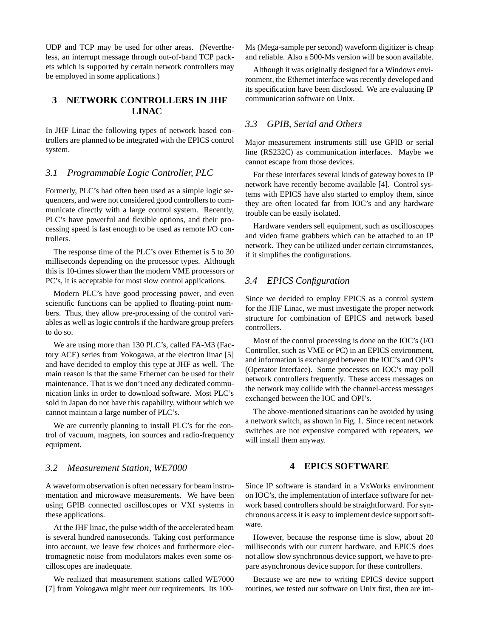UDP and TCP may be used for other areas. (Nevertheless, an interrupt message through out-of-band TCP packets which is supported by certain network controllers may be employed in some applications.)

## **3 NETWORK CONTROLLERS IN JHF LINAC**

In JHF Linac the following types of network based controllers are planned to be integrated with the EPICS control system.

#### *3.1 Programmable Logic Controller, PLC*

Formerly, PLC's had often been used as a simple logic sequencers, and were not considered good controllers to communicate directly with a large control system. Recently, PLC's have powerful and flexible options, and their processing speed is fast enough to be used as remote I/O controllers.

The response time of the PLC's over Ethernet is 5 to 30 milliseconds depending on the processor types. Although this is 10-times slower than the modern VME processors or PC's, it is acceptable for most slow control applications.

Modern PLC's have good processing power, and even scientific functions can be applied to floating-point numbers. Thus, they allow pre-processing of the control variables as well as logic controls if the hardware group prefers to do so.

We are using more than 130 PLC's, called FA-M3 (Factory ACE) series from Yokogawa, at the electron linac [5] and have decided to employ this type at JHF as well. The main reason is that the same Ethernet can be used for their maintenance. That is we don't need any dedicated communication links in order to download software. Most PLC's sold in Japan do not have this capability, without which we cannot maintain a large number of PLC's.

We are currently planning to install PLC's for the control of vacuum, magnets, ion sources and radio-frequency equipment.

#### *3.2 Measurement Station, WE7000*

A waveform observation is often necessary for beam instrumentation and microwave measurements. We have been using GPIB connected oscilloscopes or VXI systems in these applications.

At the JHF linac, the pulse width of the accelerated beam is several hundred nanoseconds. Taking cost performance into account, we leave few choices and furthermore electromagnetic noise from modulators makes even some oscilloscopes are inadequate.

We realized that measurement stations called WE7000 [7] from Yokogawa might meet our requirements. Its 100Ms (Mega-sample per second) waveform digitizer is cheap and reliable. Also a 500-Ms version will be soon available.

Although it was originally designed for a Windows environment, the Ethernet interface was recently developed and its specification have been disclosed. We are evaluating IP communication software on Unix.

## *3.3 GPIB, Serial and Others*

Major measurement instruments still use GPIB or serial line (RS232C) as communication interfaces. Maybe we cannot escape from those devices.

For these interfaces several kinds of gateway boxes to IP network have recently become available [4]. Control systems with EPICS have also started to employ them, since they are often located far from IOC's and any hardware trouble can be easily isolated.

Hardware venders sell equipment, such as oscilloscopes and video frame grabbers which can be attached to an IP network. They can be utilized under certain circumstances, if it simplifies the configurations.

## *3.4 EPICS Configuration*

Since we decided to employ EPICS as a control system for the JHF Linac, we must investigate the proper network structure for combination of EPICS and network based controllers.

Most of the control processing is done on the IOC's (I/O Controller, such as VME or PC) in an EPICS environment, and information is exchanged between the IOC's and OPI's (Operator Interface). Some processes on IOC's may poll network controllers frequently. These access messages on the network may collide with the channel-access messages exchanged between the IOC and OPI's.

The above-mentioned situations can be avoided by using a network switch, as shown in Fig. 1. Since recent network switches are not expensive compared with repeaters, we will install them anyway.

### **4 EPICS SOFTWARE**

Since IP software is standard in a VxWorks environment on IOC's, the implementation of interface software for network based controllers should be straightforward. For synchronous access it is easy to implement device support software.

However, because the response time is slow, about 20 milliseconds with our current hardware, and EPICS does not allow slow synchronous device support, we have to prepare asynchronous device support for these controllers.

Because we are new to writing EPICS device support routines, we tested our software on Unix first, then are im-